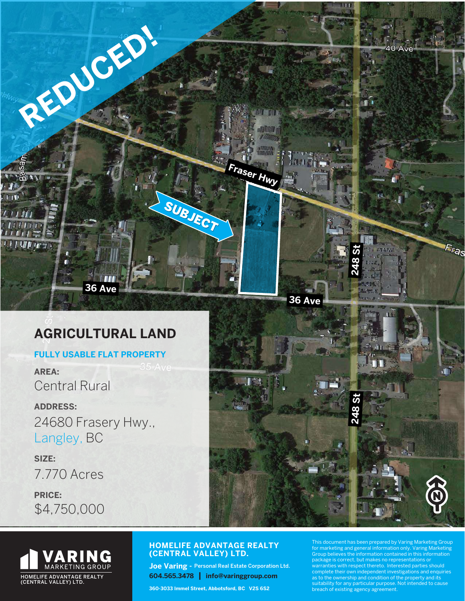

# **AGRICULTURAL LAND**

### **FULLY USABLE FLAT PROPERTY**

**AREA:** Central Rural

**ADDRESS:** 24680 Frasery Hwy., Langley, BC

**SIZE:** 7.770 Acres **PRICE:**

\$4,750,000





### **HOMELIFE ADVANTAGE REALTY (CENTRAL VALLEY) LTD.**

**Joe Varing -** Personal Real Estate Corporation Ltd. **604.565.3478 | info@varinggroup.com**

**360-3033 Immel Street, Abbotsford, BC V2S 6S2**

This document has been prepared by Varing Marketing Group for marketing and general information only. Varing Marketing Group believes the information contained in this information is correct, but makes no representations or warranties with respect thereto. Interested parties should<br>complete their own independent investigations and enquiries<br>as to the ownership and condition of the property and its<br>suitability for any particular purpose. Not i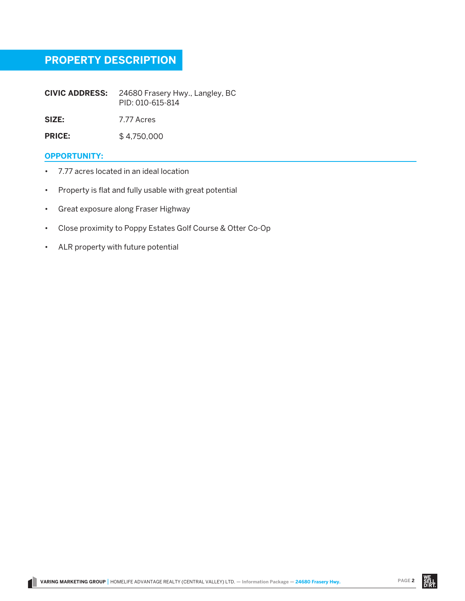# **PROPERTY DESCRIPTION**

**CIVIC ADDRESS:** 24680 Frasery Hwy., Langley, BC PID: 010-615-814

**SIZE:** 7.77 Acres

**PRICE:** \$ 4,750,000

#### **OPPORTUNITY:**

- 7.77 acres located in an ideal location
- Property is flat and fully usable with great potential
- Great exposure along Fraser Highway
- Close proximity to Poppy Estates Golf Course & Otter Co-Op
- ALR property with future potential

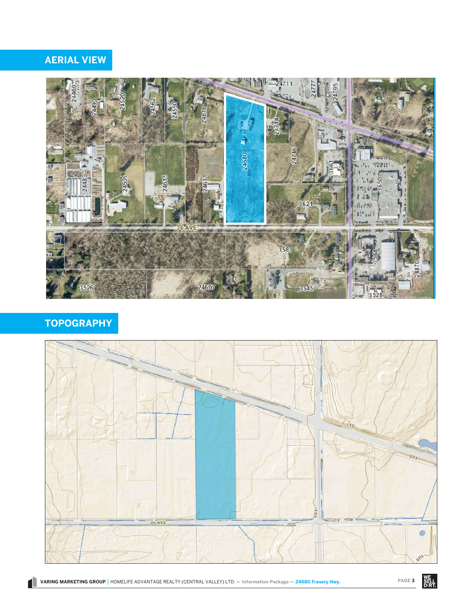**Geosource Map**



### **TOPOGRAPHY**



# **AERIAL VIEW**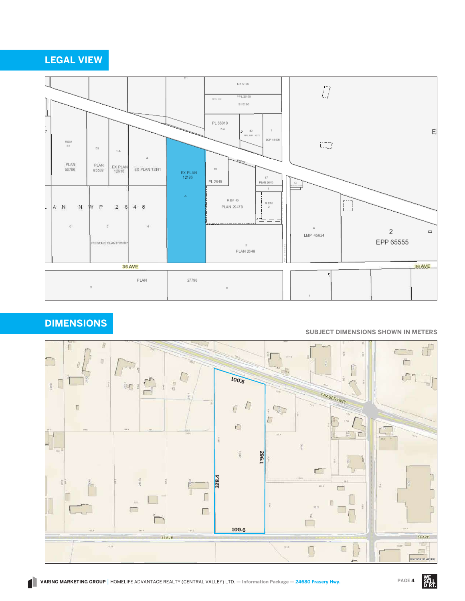#### VARING MARKETING GROUP | HOMELIFE ADVANTAGE REALTY (CENTRAL VALLEY) LTD. — Information Package — 24680 Frasery Hwy. PAGE 4 **CENTRAL VALLEY) LTD. — Informa**

Township of Langley





### **DIMENSIONS**

#### **SUBJECT DIMENSIONS SHOWN IN METERS**

promises regarding the completeness or accuracy of the information or its fitness for a particular purpose.



# **LEGAL VIEW**